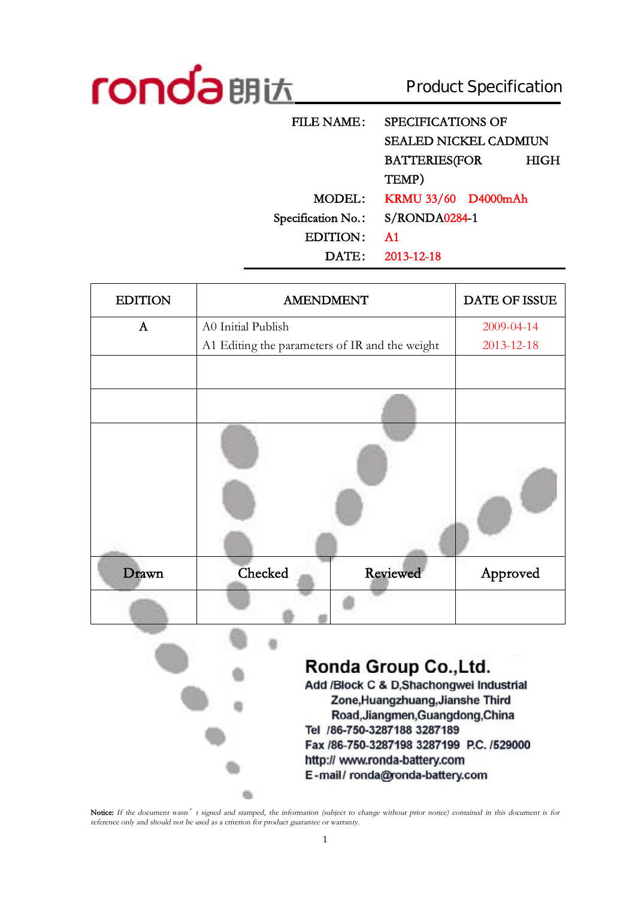

 $\sim$ 

# Product Specification

| <b>FILE NAME:</b>  | <b>SPECIFICATIONS OF</b>     |      |  |
|--------------------|------------------------------|------|--|
|                    | <b>SEALED NICKEL CADMIUN</b> |      |  |
|                    | <b>BATTERIES(FOR</b>         | HIGH |  |
|                    | TEMP)                        |      |  |
| MODEL:             | KRMU 33/60 D4000mAh          |      |  |
| Specification No.: | S/RONDA0284-1                |      |  |
| <b>EDITION:</b>    | A <sub>1</sub>               |      |  |
| $\text{DATE:}$     | 2013-12-18                   |      |  |

| <b>EDITION</b> | <b>AMENDMENT</b>                               |          | DATE OF ISSUE |
|----------------|------------------------------------------------|----------|---------------|
| $\mathbf{A}$   | A0 Initial Publish                             |          | 2009-04-14    |
|                | A1 Editing the parameters of IR and the weight |          | 2013-12-18    |
|                |                                                |          |               |
|                |                                                |          |               |
|                |                                                |          |               |
| Drawn          | Checked                                        | Reviewed | Approved      |
|                |                                                |          |               |
|                |                                                |          |               |

Ronda Group Co., Ltd.

Add /Block C & D,Shachongwei Industrial Zone, Huangzhuang, Jianshe Third Road, Jiangmen, Guangdong, China Tel /86-750-3287188 3287189 Fax /86-750-3287198 3287199 P.C. /529000 http:// www.ronda-battery.com E-mail/ronda@ronda-battery.com

Notice: If the document wasn't signed and stamped, the information (subject to change without prior notice) contained in this document is for *reference only and should not be used as <sup>a</sup> criterion for product guarantee or warranty.*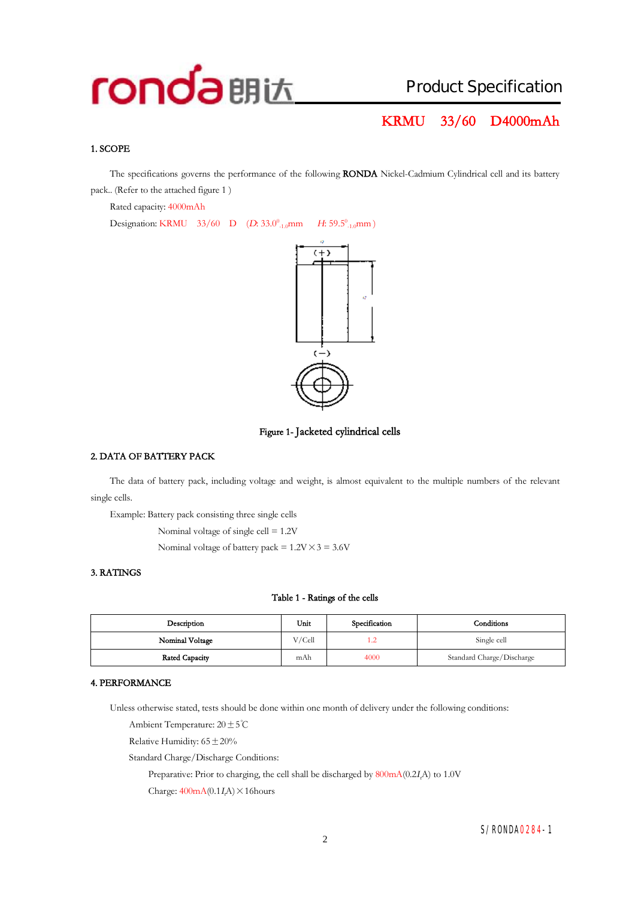### **KRMU 33/60 D4000mAh**

#### **1. SCOPE**

The specifications governs the performance of the following **RONDA** Nickel-Cadmium Cylindrical cell and its battery pack.. (Refer to the attached figure 1 )

Rated capacity: 4000mAh

Designation: KRMU 33/60 D (*D*: 33.0<sup>0</sup><sub>-1.0</sub>mm *H*: 59.5<sup>0</sup><sub>-1.0</sub>mm)





#### **2. DATA OF BATTERY PACK**

The data of battery pack, including voltage and weight, is almost equivalent to the multiple numbers of the relevant single cells.

Example: Battery pack consisting three single cells

Nominal voltage of single cell = 1.2V

Nominal voltage of battery pack =  $1.2V \times 3 = 3.6V$ 

#### **3. RATINGS**

#### **Table 1 - Ratings of the cells**

| Description           | Unit   | Specification | Conditions                |
|-----------------------|--------|---------------|---------------------------|
| Nominal Voltage       | V/Cell | 1.2           | Single cell               |
| <b>Rated Capacity</b> | mAh    | 4000          | Standard Charge/Discharge |

#### **4. PERFORMANCE**

Unless otherwise stated, tests should be done within one month of delivery under the following conditions:

Ambient Temperature: 20±5℃

Relative Humidity:  $65 \pm 20\%$ 

Standard Charge/Discharge Conditions:

Preparative: Prior to charging, the cell shall be discharged by 800mA(0.2*<sup>I</sup>t*A) to 1.0V

Charge:  $400mA(0.1I\text{A}) \times 16$ hours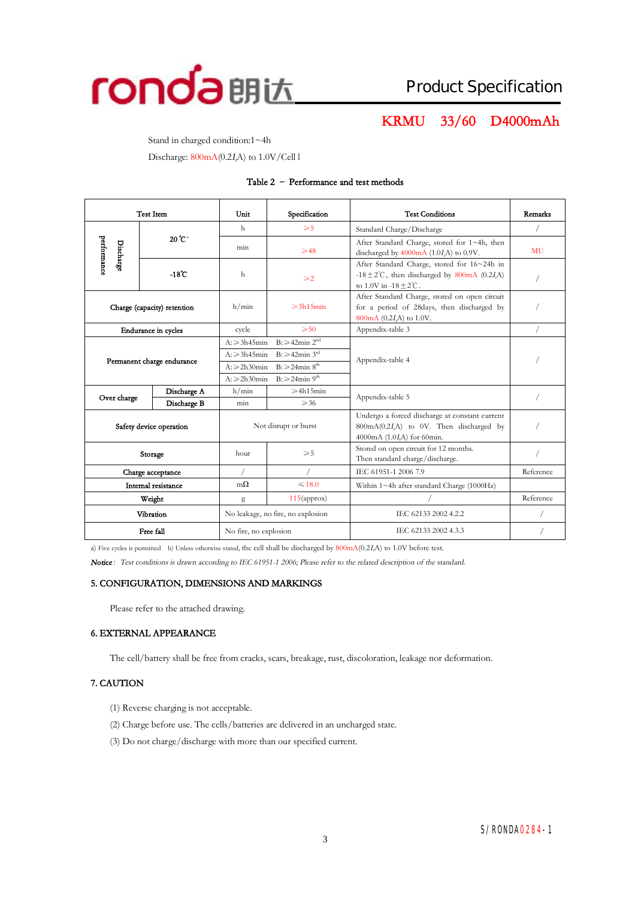

# **KRMU 33/60 D4000mAh**

Stand in charged condition:1~4h

Discharge: 800mA(0.2*<sup>I</sup>t*A) to 1.0V/Cell l

#### **Table 2 – Performance and test methods**

| <b>Test Item</b>                |                            | Specification<br>Unit                                 |                                                             | <b>Test Conditions</b>                                                                                                               | Remarks   |
|---------------------------------|----------------------------|-------------------------------------------------------|-------------------------------------------------------------|--------------------------------------------------------------------------------------------------------------------------------------|-----------|
|                                 |                            | h                                                     | $\geqslant 5$                                               | Standard Charge/Discharge                                                                                                            |           |
| performance<br><b>Discharge</b> | 20 C <sup>a</sup>          | min                                                   | $\geqslant$ 48                                              | After Standard Charge, stored for 1~4h, then<br>discharged by $4000 \text{mA}$ (1.0 <i>I<sub>r</sub>A</i> ) to 0.9V.                 | <b>MU</b> |
|                                 | $-18^{\circ}$ C            | h                                                     | $\geqslant$ 2                                               | After Standard Charge, stored for 16~24h in<br>-18 $\pm$ 2°C, then discharged by 800mA (0.2I,A)<br>to $1.0V$ in $-18 + 2^{\circ}C$ . |           |
| Charge (capacity) retention     |                            | h/min                                                 | $\geqslant$ 3h15min                                         | After Standard Charge, stored on open circuit<br>for a period of 28days, then discharged by<br>800mA (0.2I,A) to 1.0V.               |           |
|                                 | <b>Endurance</b> in cycles | cycle                                                 | $\geqslant 50$                                              | Appendix-table 3                                                                                                                     |           |
|                                 |                            | $A: \geqslant 3h45$ min                               | $B: \geq 42$ min $2^{nd}$                                   |                                                                                                                                      |           |
|                                 | Permanent charge endurance |                                                       | $B: \geq 42$ min 3 <sup>rd</sup><br>$A: \geqslant 3h45$ min | Appendix-table 4                                                                                                                     |           |
|                                 |                            |                                                       | $B: \geqslant 24$ min $8th$<br>$A: \ge 2h30$ min            |                                                                                                                                      |           |
|                                 |                            | $B: \geq 24$ min 9 <sup>th</sup><br>$A: \ge 2h30$ min |                                                             |                                                                                                                                      |           |
| Over charge                     | Discharge A                | h/min                                                 | $\geqslant$ 4h15min                                         | Appendix-table 5                                                                                                                     |           |
|                                 | Discharge B                | min                                                   | $\geqslant$ 36                                              |                                                                                                                                      |           |
| Safety device operation         |                            | Not disrupt or burst                                  |                                                             | Undergo a forced discharge at constant current<br>800mA(0.2I,A) to 0V. Then discharged by<br>4000mA (1.0 <i>I</i> ,A) for 60min.     |           |
| Storage                         |                            | $\geqslant 5$<br>hour                                 |                                                             | Stored on open circuit for 12 months.<br>Then standard charge/discharge.                                                             |           |
| Charge acceptance               |                            |                                                       |                                                             | IEC 61951-1 2006 7.9                                                                                                                 | Reference |
| Internal resistance             |                            | $m\Omega$                                             | $\leq 18.0$                                                 | Within 1~4h after standard Charge (1000Hz)                                                                                           |           |
|                                 | Weight                     |                                                       | $115$ (approx)                                              |                                                                                                                                      | Reference |
|                                 | Vibration                  |                                                       | No leakage, no fire, no explosion                           | IEC 62133 2002 4.2.2                                                                                                                 |           |
| Free fall                       |                            | No fire, no explosion                                 |                                                             | IEC 62133 2002 4.3.3                                                                                                                 |           |

a) Five cycles is permitted b) Unless otherwise stated, the cell shall be discharged by 800mA(0.2*<sup>I</sup>t*A) to 1.0V before test.

*Notice:Test conditions is drawn according to IEC 61951-1 2006; Please refer to the related description of the standard.* 

#### **5. CONFIGURATION, DIMENSIONS AND MARKINGS**

Please refer to the attached drawing.

#### **6. EXTERNAL APPEARANCE**

The cell/battery shall be free from cracks, scars, breakage, rust, discoloration, leakage nor deformation.

#### **7. CAUTION**

- (1) Reverse charging is not acceptable.
- (2) Charge before use. The cells/batteries are delivered in an uncharged state.
- (3) Do not charge/discharge with more than our specified current.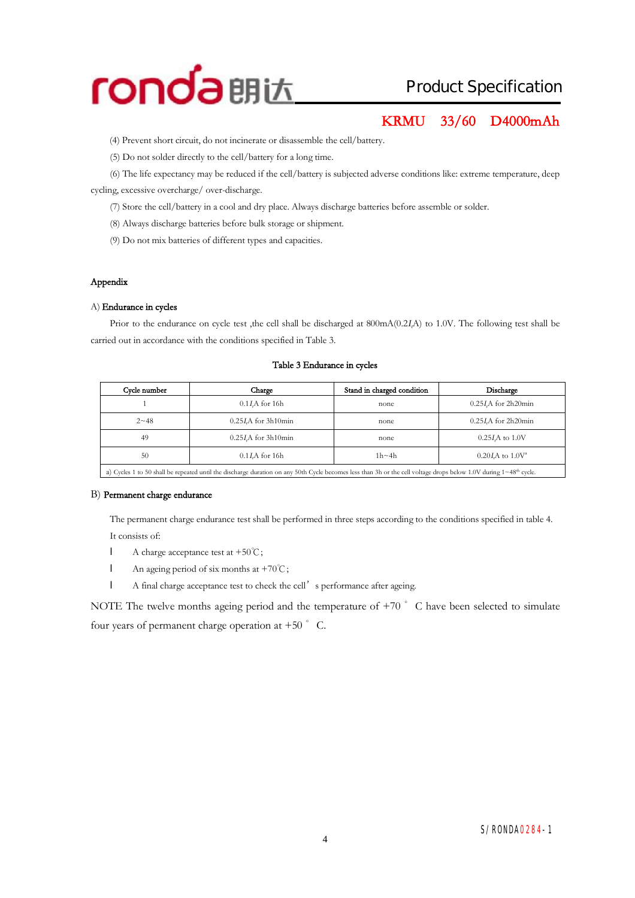

### **KRMU 33/60 D4000mAh**

(4) Prevent short circuit, do not incinerate or disassemble the cell/battery.

(5) Do not solder directly to the cell/battery for a long time.

(6) The life expectancy may be reduced if the cell/battery is subjected adverse conditionslike: extreme temperature, deep cycling, excessive overcharge/ over-discharge.

(7) Store the cell/battery in a cool and dry place. Always discharge batteries before assemble or solder.

(8) Always discharge batteries before bulk storage or shipment.

(9) Do not mix batteries of different types and capacities.

#### **Appendix**

#### A) **Endurance in cycles**

Prior to the endurance on cycle test ,the cell shall be discharged at 800mA(0.2*<sup>I</sup>t*A) to 1.0V. The following test shall be carried out in accordance with the conditions specified in Table 3.

#### **Table 3 Endurance in cycles**

| Cycle number<br>Charge |                             | Stand in charged condition | Discharge                   |
|------------------------|-----------------------------|----------------------------|-----------------------------|
|                        | $0.1I$ A for 16h            | none                       | 0.25 <i>I.A</i> for 2h20min |
| $2 - 48$               | 0.25 <i>I.A</i> for 3h10min | none                       | 0.25 <i>I.A</i> for 2h20min |
| 49                     | 0.25 <i>I.A</i> for 3h10min | none                       | $0.25I/A$ to $1.0V$         |
| 50                     | $0.1IrA$ for 16h            | $1h - 4h$                  | $0.20 I.A$ to $1.0 V^2$     |
|                        |                             |                            |                             |

a) Cycles 1 to 50 shall be repeated until the discharge duration on any 50th Cycle becomes less than 3h or the cell voltage drops below 1.0V during 1~48<sup>th</sup> cycle.

#### B) **Permanent charge endurance**

The permanent charge endurance test shall be performed in three steps according to the conditions specified in table 4. It consists of:

- l A charge acceptance test at +50℃;
- l An ageing period of six months at +70℃;
- l A final charge acceptance test to check the cell's performance after ageing.

NOTE The twelve months ageing period and the temperature of  $+70$   $\degree$  C have been selected to simulate four years of permanent charge operation at  $+50$   $\degree$  C.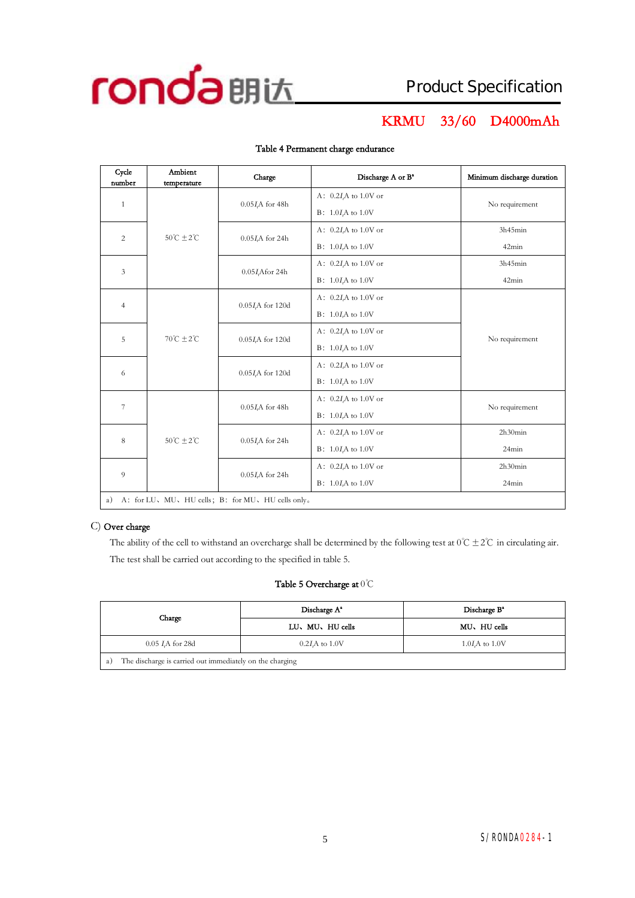

# **KRMU 33/60 D4000mAh**

| Cycle<br>number | Ambient<br>temperature                          | Charge                    | Discharge A or B <sup>a</sup> | Minimum discharge duration |  |  |
|-----------------|-------------------------------------------------|---------------------------|-------------------------------|----------------------------|--|--|
|                 |                                                 |                           | A: $0.2IrA$ to 1.0V or        |                            |  |  |
| $\mathbf{1}$    |                                                 | $0.05I\text{A}$ for 48h   | $B: 1.0IrA$ to 1.0V           | No requirement             |  |  |
| 2               | $50^{\circ}$ C ± 2 $^{\circ}$ C                 |                           | A: $0.2IrA$ to 1.0V or        | 3h45min                    |  |  |
|                 |                                                 | $0.05I\text{A}$ for 24h   | $B: 1.0I$ to 1.0V             | 42min                      |  |  |
| $\mathfrak{Z}$  |                                                 | 0.05 <i>I</i> ,Afor 24h   | A: $0.2I$ to 1.0V or          | 3h45min                    |  |  |
|                 |                                                 |                           | $B: 1.0IrA$ to 1.0V           | 42min                      |  |  |
| $\overline{4}$  |                                                 | $0.05I$ , A for 120d      | A: $0.2I_tA$ to 1.0V or       |                            |  |  |
|                 |                                                 |                           | $B: 1.0I$ to 1.0V             |                            |  |  |
|                 | $70^{\circ}C + 2^{\circ}C$<br>5<br>6            | $0.05IrA$ for 120d        | A: $0.2I$ to 1.0V or          | No requirement             |  |  |
|                 |                                                 |                           | $B: 1.0IrA$ to 1.0V           |                            |  |  |
|                 |                                                 | 0.05 <i>I</i> ,A for 120d | A: $0.2I_tA$ to 1.0V or       |                            |  |  |
|                 |                                                 |                           | $B: 1.0I$ to 1.0V             |                            |  |  |
| $\overline{7}$  |                                                 | $0.05IrA$ for 48h         | A: $0.2IrA$ to 1.0V or        | No requirement             |  |  |
|                 |                                                 |                           | $B: 1.0IrA$ to 1.0V           |                            |  |  |
| 8               | $50^{\circ}$ C $\pm 2^{\circ}$ C                | $0.05I\text{A}$ for 24h   | A: $0.2IrA$ to 1.0V or        | 2h30min                    |  |  |
|                 |                                                 |                           | $B: 1.0I$ to 1.0V             | 24min                      |  |  |
| $\overline{Q}$  |                                                 |                           | A: $0.2IrA$ to 1.0V or        | 2h30min                    |  |  |
|                 | $0.05\emph{I}_{\emph{r}}$ A for 24h             |                           | $B: 1.0IrA$ to 1.0V           | 24min                      |  |  |
| a)              | A: for LU、MU、HU cells; B: for MU、HU cells only。 |                           |                               |                            |  |  |

#### **Table 4 Permanent charge endurance**

#### C) **Over charge**

The ability of the cell to withstand an overcharge shall be determined by the following test at  $0^{\circ}C \pm 2^{\circ}C$  in circulating air. The test shall be carried out according to the specified in table 5.

#### **Table 5 Overcharge at** 0℃

| Charge                                                         | Discharge A <sup>*</sup> | Discharge B <sup>a</sup> |  |  |  |
|----------------------------------------------------------------|--------------------------|--------------------------|--|--|--|
|                                                                | LU、MU、HU cells           | MU, HU cells             |  |  |  |
| $0.05$ <i>I.A</i> for 28d                                      | $1.0I$ to $1.0V$         |                          |  |  |  |
| The discharge is carried out immediately on the charging<br>a) |                          |                          |  |  |  |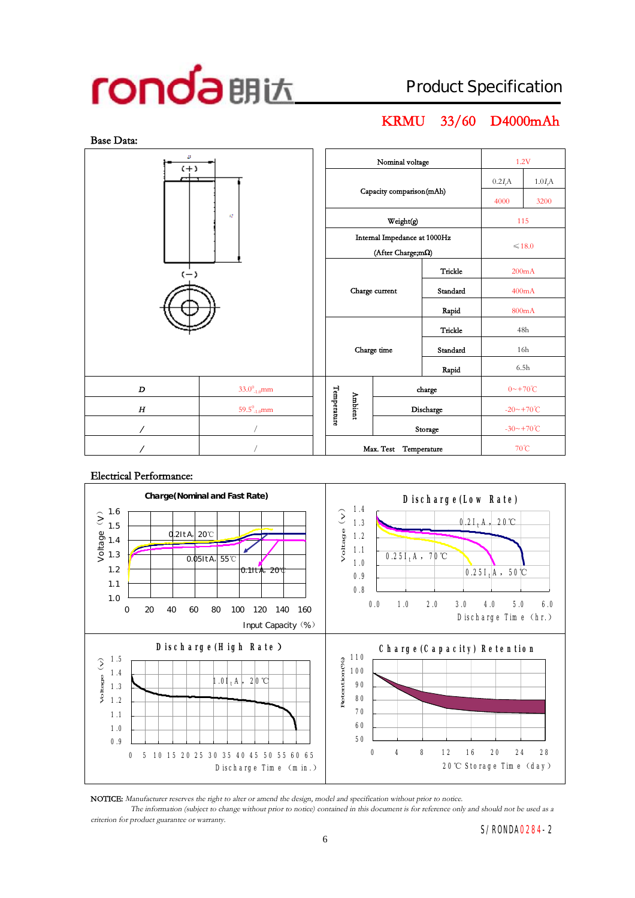# **KRMU 33/60 D4000mAh**



#### **Electrical Performance:**



**NOTICE:** *Manufacturer reserves the right to alter or amend the design, model and specification without prior to notice.*

The information (subject to change without prior to notice) contained in this document is for reference only and should not be used as a *criterion for product guarantee or warranty.*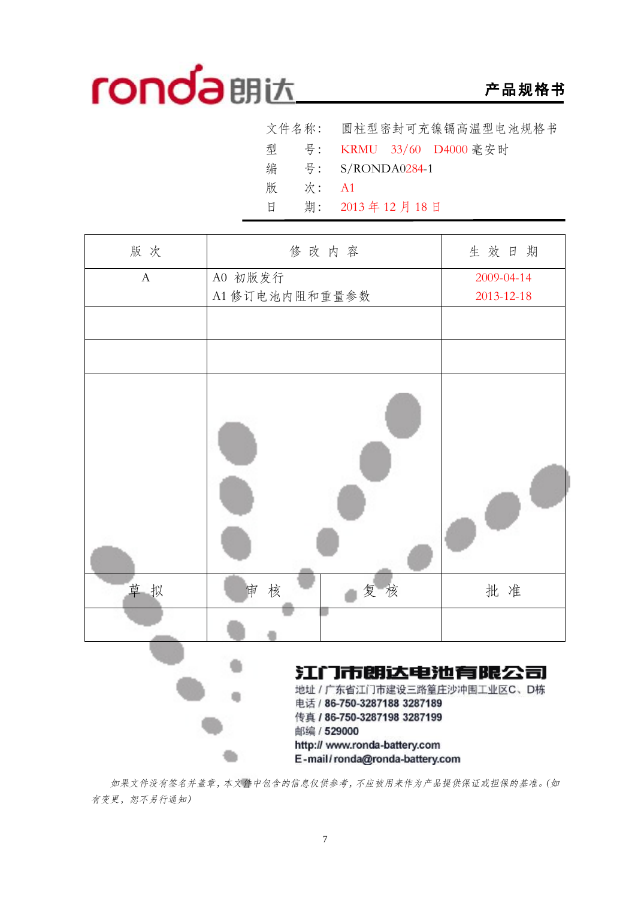# **产品规格书**

|   |       | 文件名称: 圆柱型密封可充镍镉高温型电池规格书       |
|---|-------|-------------------------------|
|   |       | 型 号: KRMU 33/60 D4000 毫安时     |
| 编 |       | $\frac{1}{2}$ : S/RONDA0284-1 |
| 版 | 次: A1 |                               |
| 日 |       | 期: 2013年12月18日                |

| 版次           | 修改内容                                                                                                                    | 生效日期       |
|--------------|-------------------------------------------------------------------------------------------------------------------------|------------|
| $\mathbf{A}$ | A0 初版发行                                                                                                                 | 2009-04-14 |
|              | A1 修订电池内阻和重量参数                                                                                                          | 2013-12-18 |
|              |                                                                                                                         |            |
|              |                                                                                                                         |            |
|              |                                                                                                                         |            |
| 草拟           | 核<br>复核<br>审                                                                                                            | 批准         |
|              |                                                                                                                         |            |
|              | 江门市朗达电池有限公司<br>地址 / 广东省江门市建设三路篁庄沙冲围工业区C、D栋<br>电话 / 86-750-3287188 3287189<br>传真 / 86-750-3287198 3287199<br>邮编 / 529000 |            |

*如果文件没有签名并盖章,本文件中包含的信息仅供参考,不应被用来作为产品提供保证或担保的基准。(如 有变更,恕不另行通知)* 

Ć٦

http:// www.ronda-battery.com

E-mail/ronda@ronda-battery.com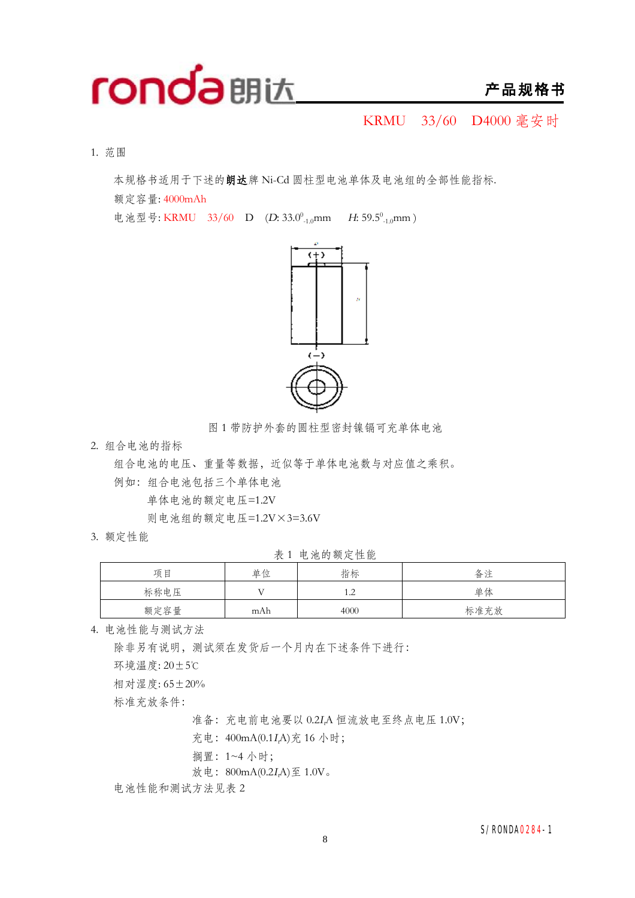

KRMU 33/60 D4000 毫安时

1. 范围

本规格书适用于下述的**朗达**牌 Ni-Cd 圆柱型电池单体及电池组的全部性能指标.

额定容量: 4000mAh

电池型号: KRMU 33/60 D (D: 33.0<sup>0</sup><sub>-1.0</sub>mm H: 59.5<sup>0</sup><sub>-1.0</sub>mm)



图 1 带防护外套的圆柱型密封镍镉可充单体电池

2. 组合电池的指标

组合电池的电压、重量等数据,近似等于单体电池数与对应值之乘积。 例如:组合电池包括三个单体电池

单体电池的额定电压=1.2V

则电池组的额定电压=1.2V×3=3.6V

3. 额定性能

表 1 电池的额定性能

| $\epsilon$<br>$     -$ |     |                       |      |  |  |
|------------------------|-----|-----------------------|------|--|--|
| 项目                     | 单位  | 指标                    | 备注   |  |  |
| 标称电压                   |     | 1 າ<br>. . <u>. .</u> | 单体   |  |  |
| 额定容量                   | mAh | 4000                  | 标准充放 |  |  |

4. 电池性能与测试方法

除非另有说明,测试须在发货后一个月内在下述条件下进行:

环境温度: 20±5℃

相对湿度: 65±20%

标准充放条件:

准备:充电前电池要以 0.2*<sup>I</sup>t*A 恒流放电至终点电压 1.0V;

充电:400mA(0.1*<sup>I</sup>t*A)充 16 小时;

搁置:1~4 小时;

放电:800mA(0.2*<sup>I</sup>t*A)至 1.0V。

电池性能和测试方法见表 2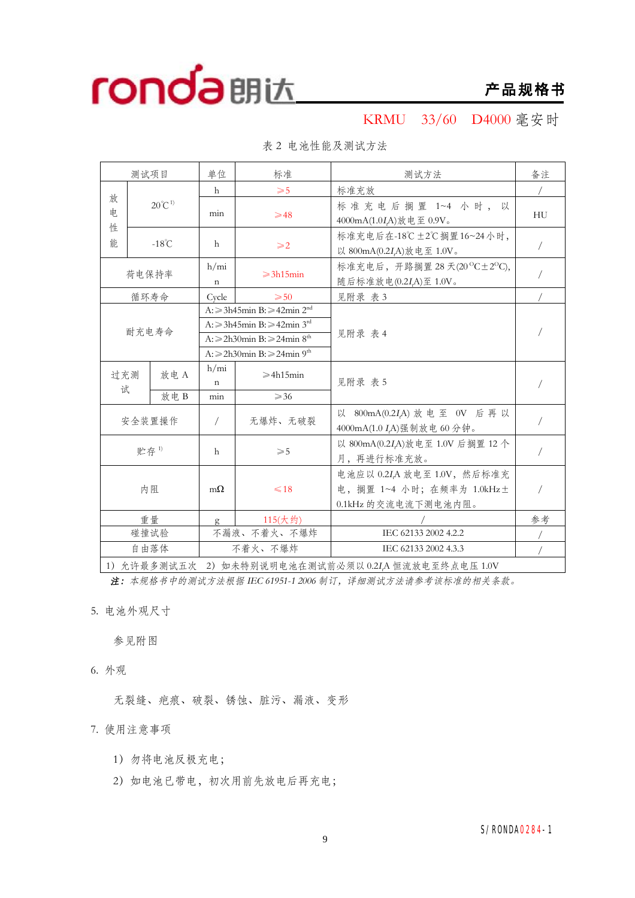

KRMU 33/60 D4000 毫安时

|                                                        | 测试项目 |                                                                                                                                                                                               | 单位                   | 标准                                                                            | 测试方法                                                                 | 备注            |
|--------------------------------------------------------|------|-----------------------------------------------------------------------------------------------------------------------------------------------------------------------------------------------|----------------------|-------------------------------------------------------------------------------|----------------------------------------------------------------------|---------------|
|                                                        |      |                                                                                                                                                                                               | $\mathsf{h}$         | $\geqslant$ 5                                                                 | 标准充放                                                                 |               |
| 放<br>电                                                 |      | $20^{\circ}C^{1}$                                                                                                                                                                             | min                  | $\geqslant$ 48                                                                | 标准充电后搁置 1~4 小时, 以<br>4000mA(1.0IA)放电至 0.9V。                          | HU            |
| 性<br>能                                                 |      | $-18^{\circ}$ C                                                                                                                                                                               | h                    | $\geqslant$ 2                                                                 | 标准充电后在-18℃±2℃搁置16~24小时,<br>以 800mA(0.2I,A)放电至 1.0V。                  | $\frac{1}{2}$ |
|                                                        |      | 荷电保持率                                                                                                                                                                                         | h/min<br>$\mathbf n$ | $\geqslant$ 3h15min                                                           | 标准充电后, 开路搁置 28 天(20 °C±2 °C),<br>随后标准放电(0.2I <sub>r</sub> A)至 1.0V。  |               |
|                                                        |      | 循环寿命                                                                                                                                                                                          | Cycle                | $\geqslant 50$                                                                | 见附录 表 3                                                              |               |
| 耐充电寿命                                                  |      | A: $\geq$ 3h45min B: $\geq$ 42min $2^{nd}$<br>A: ≥3h45min B: ≥42min 3 <sup>rd</sup><br>$A: \ge 2h30$ min B: $\ge 24$ min 8 <sup>th</sup><br>A: $\geq$ 2h30min B: $\geq$ 24min 9 <sup>th</sup> |                      | 见附录 表 4                                                                       |                                                                      |               |
| 放电A<br>过充测<br>试                                        |      | h/min<br>$\mathbf n$                                                                                                                                                                          | $\geqslant$ 4h15min  | 见附录 表 5                                                                       |                                                                      |               |
|                                                        |      | 放电B                                                                                                                                                                                           | min                  | $\geqslant$ 36                                                                |                                                                      |               |
| 安全装置操作                                                 |      |                                                                                                                                                                                               | $\sqrt{2}$           | 无爆炸、无破裂                                                                       | 以 800mA(0.2IA) 放电至 0V 后再以<br>4000mA(1.0 I <sub>r</sub> A)强制放电 60 分钟。 |               |
| 贮存1)                                                   |      | h                                                                                                                                                                                             | $\geqslant$ 5        | 以 800mA(0.2I,A)放电至 1.0V 后搁置 12 个<br>月,再进行标准充放。                                | $\sqrt{2}$                                                           |               |
| 内阻                                                     |      | $m\Omega$                                                                                                                                                                                     | $\leq 18$            | 电池应以 0.2IA 放电至 1.0V, 然后标准充<br>电,搁置 1~4 小时;在频率为 1.0kHz土<br>0.1kHz 的交流电流下测电池内阻。 | $\sqrt{2}$                                                           |               |
| 重量                                                     |      |                                                                                                                                                                                               | g                    | 115(大约)                                                                       |                                                                      | 参考            |
|                                                        |      | 碰撞试验                                                                                                                                                                                          |                      | 不漏液、不着火、不爆炸                                                                   | IEC 62133 2002 4.2.2                                                 |               |
|                                                        |      | 自由落体                                                                                                                                                                                          |                      | 不着火、不爆炸                                                                       | IEC 62133 2002 4.3.3                                                 |               |
| 1) 允许最多测试五次<br>2) 如未特别说明电池在测试前必须以 0.2IA 恒流放电至终点电压 1.0V |      |                                                                                                                                                                                               |                      |                                                                               |                                                                      |               |

表 2 电池性能及测试方法

*注:本规格书中的测试方法根据 IEC 61951-1 <sup>2006</sup> 制订,详细测试方法请参考该标准的相关条款。*

5. 电池外观尺寸

参见附图

6. 外观

无裂缝、疤痕、破裂、锈蚀、脏污、漏液、变形

7. 使用注意事项

- 1)勿将电池反极充电;
- 2) 如电池已带电, 初次用前先放电后再充电;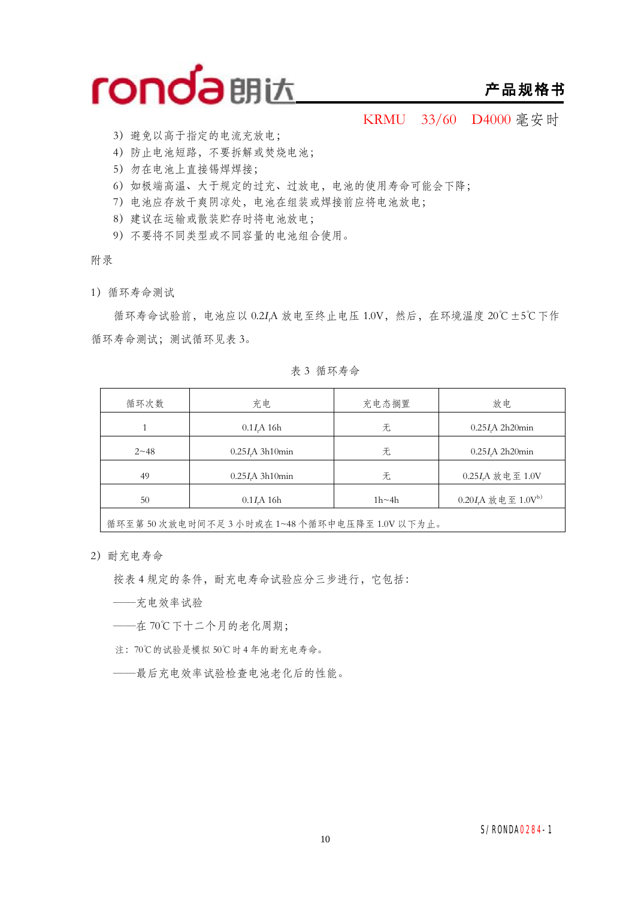

### **产品规格书**

KRMU 33/60 D4000 毫安时

- 3)避免以高于指定的电流充放电;
- 4)防止电池短路,不要拆解或焚烧电池;
- 5)勿在电池上直接锡焊焊接;
- 6)如极端高温、大于规定的过充、过放电,电池的使用寿命可能会下降;
- 7)电池应存放干爽阴凉处,电池在组装或焊接前应将电池放电;
- 8)建议在运输或散装贮存时将电池放电;
- 9)不要将不同类型或不同容量的电池组合使用。

附录

1)循环寿命测试

循环寿命试验前,电池应以 0.2*<sup>I</sup>t*A 放电至终止电压 1.0V,然后,在环境温度 20℃±5℃下作 循环寿命测试;测试循环见表 3。

表 3 循环寿命

| 循环次数     | 充电                      | 充电态搁置        | 放电                               |
|----------|-------------------------|--------------|----------------------------------|
|          | 0.1I <sub>r</sub> A 16h | 无            | $0.25I$ A 2h20 $min$             |
| $2 - 48$ | $0.25I/A$ 3h10 $min$    | 无            | $0.25I$ A 2h20min                |
| 49       | $0.25I$ A 3h10 $min$    | 无            | 0.25IA 放电至 1.0V                  |
| 50       | $0.1I$ A 16h            | $1h \sim 4h$ | $0.20IrA$ 放电至 1.0V <sup>b)</sup> |
|          |                         |              |                                  |

循环至第 50 次放电时间不足 3 小时或在 1~48 个循环中电压降至 1.0V 以下为止。

2)耐充电寿命

按表 4 规定的条件,耐充电寿命试验应分三步进行,它包括:

- ——充电效率试验
- ——在 70℃下十二个月的老化周期;
- 注:70℃的试验是模拟 50℃时 4 年的耐充电寿命。
- ——最后充电效率试验检查电池老化后的性能。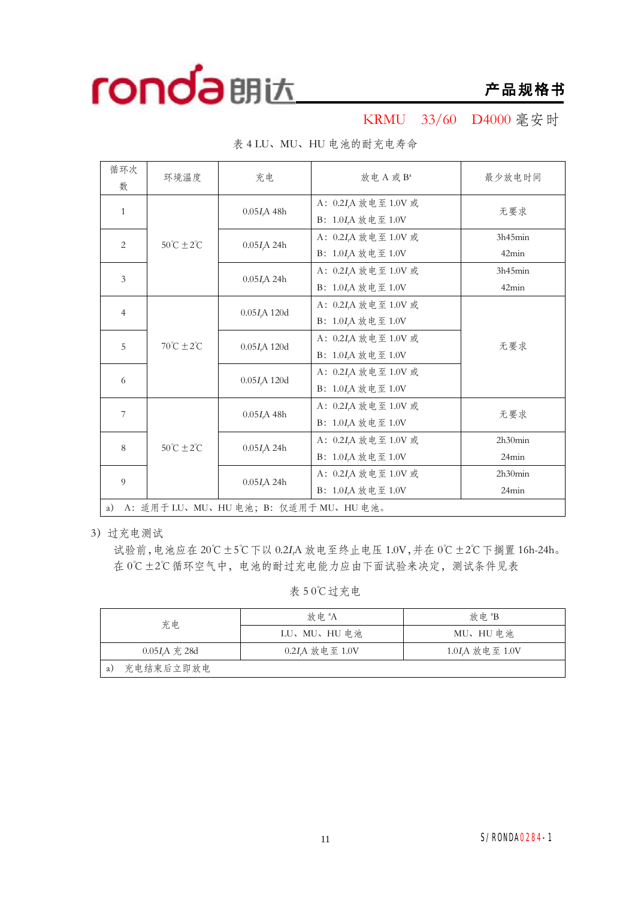

KRMU 33/60 D4000 毫安时

| 循环次<br>数                                    | 环境温度                         | 充电                       | 放电 A 或 Ba                                                                  | 最少放电时间           |  |  |
|---------------------------------------------|------------------------------|--------------------------|----------------------------------------------------------------------------|------------------|--|--|
| $\mathbf{1}$                                |                              | 0.05I <sub>r</sub> A 48h | A: 0.2 <i>I<sub>t</sub>A</i> 放电至 1.0V 或<br>B: 1.0I,A 放电至 1.0V              | 无要求              |  |  |
| $\overline{2}$                              | $50^{\circ}C \pm 2^{\circ}C$ | 0.05I <sub>r</sub> A 24h | A: 0.2I,A 放电至 1.0V 或<br>B: 1.0I <sub>r</sub> A 放电至 1.0V                    | 3h45min<br>42min |  |  |
| 3                                           |                              | 0.05I <sub>r</sub> A 24h | A: 0.2I,A 放电至 1.0V 或<br>B: 1.0I <sub>r</sub> A 放电至 1.0V                    | 3h45min<br>42min |  |  |
| $\overline{4}$                              | $70^{\circ}C \pm 2^{\circ}C$ | $0.05I$ A 120d           | A: 0.2I <sub>t</sub> A 放电至 1.0V 或<br>B: $1.0I_tA$ 放电至 $1.0V$               |                  |  |  |
| 5                                           |                              | $0.05I$ A 120d           | A: 0.2I <sub>c</sub> A 放电至 1.0V 或<br>B: 1.0I,A 放电至 1.0V                    | 无要求              |  |  |
| 6                                           |                              | $0.05I$ A 120d           | A: 0.2I,A 放电至 1.0V 或<br>B: 1.0I <sub>t</sub> A 放电至 1.0V                    |                  |  |  |
| 7                                           |                              | 0.05I <sub>r</sub> A 48h | A: 0.2I,A 放电至 1.0V 或<br>B: $1.0I_tA$ 放电至 $1.0V$                            | 无要求              |  |  |
| 8                                           | $50^{\circ}C \pm 2^{\circ}C$ | $0.05I\text{A}$ 24h      | A: 0.2I <sub>r</sub> A 放电至 1.0V 或<br>B: 1.0I <sub>r</sub> A 放电至 1.0V       | 2h30min<br>24min |  |  |
| $\overline{9}$                              |                              | $0.05I$ A 24h            | A: 0.2 <i>I</i> <sub>r</sub> A 放电至 1.0V 或<br>B: 1.0I <sub>A</sub> 放电至 1.0V | 2h30min<br>24min |  |  |
| A: 适用于 LU、MU、HU 电池; B: 仅适用于 MU、HU 电池。<br>a) |                              |                          |                                                                            |                  |  |  |

表 4 LU、MU、HU 电池的耐充电寿命

3)过充电测试

试验前,电池应在 20℃±5℃下以 0.2*<sup>I</sup>t*A 放电至终止电压 1.0V,并在 0℃±2℃下搁置 16h-24h。 在 0℃±2℃循环空气中,电池的耐过充电能力应由下面试验来决定,测试条件见表

表 5 0℃过充电

| 充电                | 放 申 <sup>a</sup> A           | 放电 <sup>a</sup> B          |  |  |
|-------------------|------------------------------|----------------------------|--|--|
|                   | LU、MU、HU 电池                  | MU、HU 电池                   |  |  |
| $0.05I$ $A$ 充 28d | 0.2I <sub>r</sub> A 放电至 1.0V | 1.0I <sub>A</sub> 放电至 1.0V |  |  |
| 充电结束后立即放电<br>a)   |                              |                            |  |  |